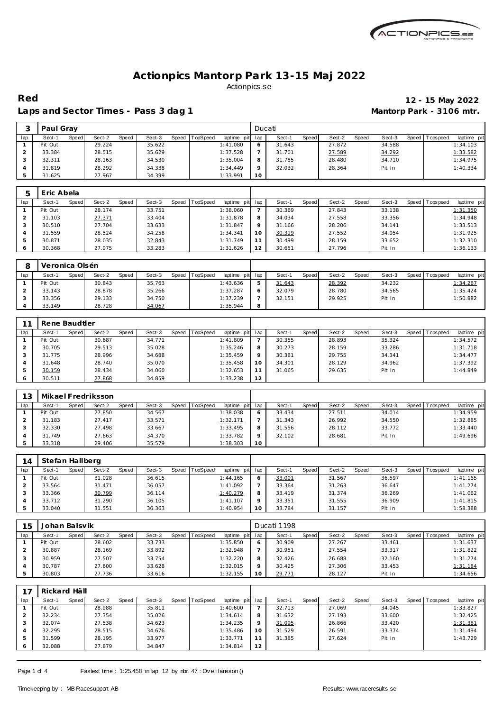

**Red 12 - 15 May 2022**

## Laps and Sector Times - Pass 3 dag 1 **Mantorp Park - 3106 mtr.**

|     | Paul Grav |       |        |       |        |       |          |             | Ducati   |        |              |        |       |        |                 |             |
|-----|-----------|-------|--------|-------|--------|-------|----------|-------------|----------|--------|--------------|--------|-------|--------|-----------------|-------------|
| lap | Sect-1    | Speed | Sect-2 | Speed | Sect-3 | Speed | TopSpeed | laptime pit | lap      | Sect-1 | <b>Speed</b> | Sect-2 | Speed | Sect-3 | Speed Tops peed | laptime pit |
|     | Pit Out   |       | 29.224 |       | 35.622 |       |          | 1:41.080    |          | 31.643 |              | 27.872 |       | 34.588 |                 | 1:34.103    |
|     | 33.384    |       | 28.515 |       | 35.629 |       |          | 1:37.528    |          | 31.701 |              | 27.589 |       | 34.292 |                 | 1:33.582    |
|     | 32.311    |       | 28.163 |       | 34.530 |       |          | 1:35.004    | $\circ$  | 31.785 |              | 28.480 |       | 34.710 |                 | 1:34.975    |
|     | 31.819    |       | 28.292 |       | 34.338 |       |          | 1:34.449    | $\Omega$ | 32.032 |              | 28.364 |       | Pit In |                 | 1:40.334    |
|     | 31.625    |       | 27.967 |       | 34.399 |       |          | 1:33.991    | 10       |        |              |        |       |        |                 |             |

|     | Eric Abela |       |        |       |        |       |          |             |     |        |       |        |       |        |         |            |             |
|-----|------------|-------|--------|-------|--------|-------|----------|-------------|-----|--------|-------|--------|-------|--------|---------|------------|-------------|
| lap | Sect-1     | Speed | Sect-2 | Speed | Sect-3 | Speed | TopSpeed | laptime pit | lap | Sect-1 | Speed | Sect-2 | Speed | Sect-3 | Speed I | T ops peed | laptime pit |
|     | Pit Out    |       | 28.174 |       | 33.751 |       |          | 1:38.060    |     | 30.369 |       | 27.843 |       | 33.138 |         |            | 1:31.350    |
|     | 31.103     |       | 27.371 |       | 33.404 |       |          | 1:31.878    | 8   | 34.034 |       | 27.558 |       | 33.356 |         |            | 1:34.948    |
|     | 30.510     |       | 27.704 |       | 33.633 |       |          | 1:31.847    |     | 31.166 |       | 28.206 |       | 34.141 |         |            | 1:33.513    |
|     | 31.559     |       | 28.524 |       | 34.258 |       |          | 1:34.341    | 10  | 30.319 |       | 27.552 |       | 34.054 |         |            | 1:31.925    |
|     | 30.871     |       | 28.035 |       | 32.843 |       |          | 1:31.749    |     | 30.499 |       | 28.159 |       | 33.652 |         |            | 1:32.310    |
|     | 30.368     |       | 27.975 |       | 33.283 |       |          | 1:31.626    | 12  | 30.651 |       | 27.796 |       | Pit In |         |            | 1:36.133    |

|     | Veronica Olsén |       |        |       |        |       |                 |             |     |        |              |        |       |        |       |            |             |
|-----|----------------|-------|--------|-------|--------|-------|-----------------|-------------|-----|--------|--------------|--------|-------|--------|-------|------------|-------------|
| lap | Sect-1         | Speed | Sect-2 | Speed | Sect-3 | Speed | <b>TopSpeed</b> | laptime pit | lap | Sect-  | <b>Speed</b> | Sect-2 | Speed | Sect-3 | Speed | Tops pee d | laptime pit |
|     | Pit Out        |       | 30.843 |       | 35.763 |       |                 | 1:43.636    | ь   | 31.643 |              | 28.392 |       | 34.232 |       |            | 1:34.267    |
|     | 33.143         |       | 28.878 |       | 35.266 |       |                 | 1:37.287    | O   | 32.079 |              | 28.780 |       | 34.565 |       |            | 1:35.424    |
|     | 33.356         |       | 29.133 |       | 34.750 |       |                 | 1:37.239    |     | 32.151 |              | 29.925 |       | Pit In |       |            | 1:50.882    |
|     | 33.149         |       | 28.728 |       | 34.067 |       |                 | 1:35.944    | 8   |        |              |        |       |        |       |            |             |

|         | Rene Baudtler |       |        |       |        |       |          |             |         |        |              |        |       |        |       |           |             |
|---------|---------------|-------|--------|-------|--------|-------|----------|-------------|---------|--------|--------------|--------|-------|--------|-------|-----------|-------------|
| lap     | Sect-1        | Speed | Sect-2 | Speed | Sect-3 | Speed | TopSpeed | laptime pit | lap     | Sect-1 | <b>Speed</b> | Sect-2 | Speed | Sect-3 | Speed | Tops peed | laptime pit |
|         | Pit Out       |       | 30.687 |       | 34.771 |       |          | 1:41.809    |         | 30.355 |              | 28.893 |       | 35.324 |       |           | 1:34.572    |
|         | 30.705        |       | 29.513 |       | 35.028 |       |          | 1:35.246    | 8       | 30.273 |              | 28.159 |       | 33.286 |       |           | 1:31.718    |
| З       | 31.775        |       | 28.996 |       | 34.688 |       |          | 1:35.459    | $\circ$ | 30.381 |              | 29.755 |       | 34.341 |       |           | 1:34.477    |
|         | 31.648        |       | 28.740 |       | 35.070 |       |          | 1:35.458    | 10      | 34.301 |              | 28.129 |       | 34.962 |       |           | 1:37.392    |
| 5       | 30.159        |       | 28.434 |       | 34.060 |       |          | 1:32.653    | 11      | 31.065 |              | 29.635 |       | Pit In |       |           | 1:44.849    |
| $\circ$ | 30.511        |       | 27.868 |       | 34.859 |       |          | 1:33.238    | 12      |        |              |        |       |        |       |           |             |

| イウ  | Mikael Fredriksson |       |        |       |        |       |          |                 |                 |        |       |        |       |        |       |            |             |
|-----|--------------------|-------|--------|-------|--------|-------|----------|-----------------|-----------------|--------|-------|--------|-------|--------|-------|------------|-------------|
| lap | Sect-1             | Speed | Sect-2 | Speed | Sect-3 | Speed | TopSpeed | laptime pit     | lap             | Sect-1 | Speed | Sect-2 | Speed | Sect-3 | Speed | T ops peed | laptime pit |
|     | Pit Out            |       | 27.850 |       | 34.567 |       |          | 1:38.038        | O               | 33.434 |       | 27.511 |       | 34.014 |       |            | 1:34.959    |
|     | 31.183             |       | 27.417 |       | 33.571 |       |          | <u>1:32.171</u> |                 | 31.343 |       | 26.992 |       | 34.550 |       |            | 1:32.885    |
|     | 32.330             |       | 27.498 |       | 33.667 |       |          | 1:33.495        | 8               | 31.556 |       | 28.112 |       | 33.772 |       |            | 1:33.440    |
|     | 31.749             |       | 27.663 |       | 34.370 |       |          | 1:33.782        | $\circ$         | 32.102 |       | 28.681 |       | Pit In |       |            | 1:49.696    |
|     | 33.318             |       | 29.406 |       | 35.579 |       |          | 1:38.303        | 10 <sup>°</sup> |        |       |        |       |        |       |            |             |

| 14  | Stefan Hallberg |       |        |       |        |       |          |                 |         |        |       |        |       |        |                 |             |
|-----|-----------------|-------|--------|-------|--------|-------|----------|-----------------|---------|--------|-------|--------|-------|--------|-----------------|-------------|
| lap | Sect-1          | Speed | Sect-2 | Speed | Sect-3 | Speed | TopSpeed | laptime pit lap |         | Sect-1 | Speed | Sect-2 | Speed | Sect-3 | Speed Tops peed | laptime pit |
|     | Pit Out         |       | 31.028 |       | 36.615 |       |          | 1:44.165        | O       | 33.001 |       | 31.567 |       | 36.597 |                 | 1: 41.165   |
|     | 33.564          |       | 31.471 |       | 36.057 |       |          | 1:41.092        |         | 33.364 |       | 31.263 |       | 36.647 |                 | 1:41.274    |
|     | 33.366          |       | 30.799 |       | 36.114 |       |          | 1:40.279        | 8       | 33.419 |       | 31.374 |       | 36.269 |                 | 1:41.062    |
|     | 33.712          |       | 31.290 |       | 36.105 |       |          | 1: 41.107       | $\circ$ | 33.351 |       | 31.555 |       | 36.909 |                 | 1:41.815    |
|     | 33.040          |       | 31.551 |       | 36.363 |       |          | 1:40.954        | 10      | 33.784 |       | 31.157 |       | Pit In |                 | 1:58.388    |

| 15  | Johan Balsvik |       |        |       |        |       |                 |             |     | Ducati 1198 |       |        |       |        |       |            |             |
|-----|---------------|-------|--------|-------|--------|-------|-----------------|-------------|-----|-------------|-------|--------|-------|--------|-------|------------|-------------|
| lap | Sect-1        | Speed | Sect-2 | Speed | Sect-3 | Speed | <b>TopSpeed</b> | laptime pit | lap | Sect-1      | Speed | Sect-2 | Speed | Sect-3 | Speed | Tops pee d | laptime pit |
|     | Pit Out       |       | 28.602 |       | 33.733 |       |                 | 1:35.850    |     | 30.909      |       | 27.267 |       | 33.461 |       |            | 1:31.637    |
|     | 30.887        |       | 28.169 |       | 33.892 |       |                 | 1:32.948    |     | 30.951      |       | 27.554 |       | 33.317 |       |            | 1:31.822    |
|     | 30.959        |       | 27.507 |       | 33.754 |       |                 | 1:32.220    | 8   | 32.426      |       | 26.688 |       | 32.160 |       |            | 1:31.274    |
|     | 30.787        |       | 27.600 |       | 33.628 |       |                 | 1:32.015    |     | 30.425      |       | 27.306 |       | 33.453 |       |            | 1:31.184    |
|     | 30.803        |       | 27.736 |       | 33.616 |       |                 | 1:32.155    |     | 29.771      |       | 28.127 |       | Pit In |       |            | 1:34.656    |

|     | Rickard Häll |       |        |       |        |       |          |             |         |        |       |        |       |        |       |          |             |
|-----|--------------|-------|--------|-------|--------|-------|----------|-------------|---------|--------|-------|--------|-------|--------|-------|----------|-------------|
| lap | Sect-1       | Speed | Sect-2 | Speed | Sect-3 | Speed | TopSpeed | laptime pit | lap     | Sect-1 | Speed | Sect-2 | Speed | Sect-3 | Speed | Topspeed | laptime pit |
|     | Pit Out      |       | 28.988 |       | 35.811 |       |          | 1:40.600    |         | 32.713 |       | 27.069 |       | 34.045 |       |          | 1:33.827    |
|     | 32.234       |       | 27.354 |       | 35.026 |       |          | 1:34.614    | 8       | 31.632 |       | 27.193 |       | 33.600 |       |          | 1:32.425    |
|     | 32.074       |       | 27.538 |       | 34.623 |       |          | 1:34.235    | $\circ$ | 31.095 |       | 26.866 |       | 33.420 |       |          | 1:31.381    |
|     | 32.295       |       | 28.515 |       | 34.676 |       |          | 1:35.486    | 10      | 31.529 |       | 26.591 |       | 33.374 |       |          | 1:31.494    |
|     | 31.599       |       | 28.195 |       | 33.977 |       |          | 1:33.771    | 11      | 31.385 |       | 27.624 |       | Pit In |       |          | 1:43.729    |
|     | 32.088       |       | 27.879 |       | 34.847 |       |          | 1:34.814    | 12      |        |       |        |       |        |       |          |             |

Page 1 of 4 Fastest time : 1:25.458 in lap 12 by nbr. 47 : Ove Hansson ()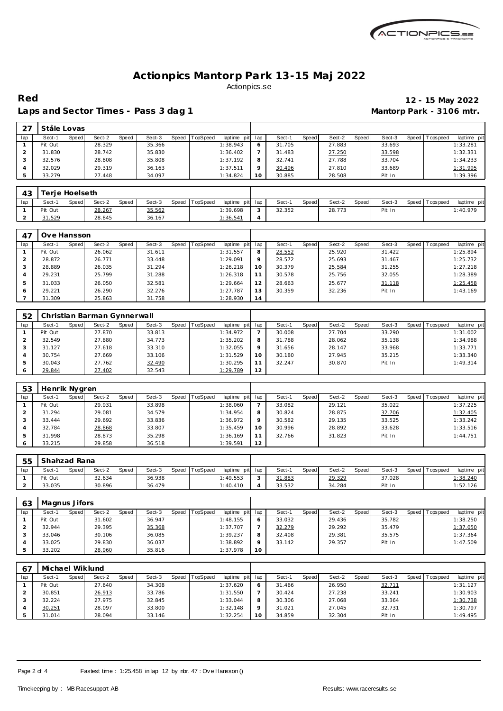

Laps and Sector Times - Pass 3 dag 1 **Mantorp Park - 3106 mtr.** 

## **Red 12 - 15 May 2022**

| 27  | Ståle Lovas |       |        |       |        |       |          |             |         |        |       |        |       |        |                 |             |  |
|-----|-------------|-------|--------|-------|--------|-------|----------|-------------|---------|--------|-------|--------|-------|--------|-----------------|-------------|--|
| lap | Sect-1      | Speed | Sect-2 | Speed | Sect-3 | Speed | TopSpeed | laptime pit | lap     | Sect-1 | Speed | Sect-2 | Speed | Sect-3 | Speed Tops peed | laptime pit |  |
|     | Pit Out     |       | 28.329 |       | 35.366 |       |          | 1:38.943    | 6       | 31.705 |       | 27.883 |       | 33.693 |                 | 1:33.281    |  |
|     | 31.830      |       | 28.742 |       | 35.830 |       |          | 1:36.402    |         | 31.483 |       | 27.250 |       | 33.598 |                 | 1:32.331    |  |
|     | 32.576      |       | 28,808 |       | 35.808 |       |          | 1:37.192    | 8       | 32.741 |       | 27.788 |       | 33.704 |                 | 1:34.233    |  |
| 4   | 32.029      |       | 29.319 |       | 36.163 |       |          | 1:37.511    | $\circ$ | 30.496 |       | 27.810 |       | 33.689 |                 | 1:31.995    |  |
| 5   | 33.279      |       | 27.448 |       | 34.097 |       |          | 1:34.824    | 10      | 30.885 |       | 28.508 |       | Pit In |                 | 1:39.396    |  |

| 43       |         | Terie Hoelseth |        |              |        |                |                 |             |        |       |        |       |        |                   |             |
|----------|---------|----------------|--------|--------------|--------|----------------|-----------------|-------------|--------|-------|--------|-------|--------|-------------------|-------------|
| lap      | Sect-1  | Speed          | Sect-2 | <b>Speed</b> | Sect-3 | Speed TopSpeed | laptime pit lap |             | Sect-  | Speed | Sect-2 | Speed | Sect-3 | Speed   Tops peed | laptime pit |
|          | Pit Out |                | 28.267 |              | 35.562 |                | 1:39.698        | $\sim$<br>ు | 32.352 |       | 28.773 |       | Pit In |                   | 1:40.979    |
| <u>.</u> | 31.529  |                | 28.845 |              | 36.167 |                | 1:36.541        |             |        |       |        |       |        |                   |             |

| 47  | Ove Hansson |       |        |       |        |                |             |     |        |       |        |       |        |                 |             |
|-----|-------------|-------|--------|-------|--------|----------------|-------------|-----|--------|-------|--------|-------|--------|-----------------|-------------|
| lap | Sect-1      | Speed | Sect-2 | Speed | Sect-3 | Speed TopSpeed | laptime pit | lap | Sect-1 | Speed | Sect-2 | Speed | Sect-3 | Speed Tops peed | laptime pit |
|     | Pit Out     |       | 26.062 |       | 31.611 |                | 1:31.557    | 8   | 28.552 |       | 25.920 |       | 31.422 |                 | 1:25.894    |
|     | 28.872      |       | 26.771 |       | 33.448 |                | 1:29.091    | 9   | 28.572 |       | 25.693 |       | 31.467 |                 | 1:25.732    |
|     | 28.889      |       | 26.035 |       | 31.294 |                | 1:26.218    | 10  | 30.379 |       | 25.584 |       | 31.255 |                 | 1:27.218    |
| 4   | 29.231      |       | 25.799 |       | 31.288 |                | 1:26.318    | 11  | 30.578 |       | 25.756 |       | 32.055 |                 | 1:28.389    |
| 5   | 31.033      |       | 26.050 |       | 32.581 |                | 1:29.664    | 12  | 28.663 |       | 25.677 |       | 31.118 |                 | 1:25.458    |
| 6   | 29.221      |       | 26.290 |       | 32.276 |                | 1:27.787    | 13  | 30.359 |       | 32.236 |       | Pit In |                 | 1:43.169    |
|     | 31.309      |       | 25.863 |       | 31.758 |                | 1:28.930    | 14  |        |       |        |       |        |                 |             |

| 52  |         |       | Christian Barman Gynnerwall |       |        |       |          |             |         |        |       |        |       |        |       |           |             |
|-----|---------|-------|-----------------------------|-------|--------|-------|----------|-------------|---------|--------|-------|--------|-------|--------|-------|-----------|-------------|
| lap | Sect-1  | Speed | Sect-2                      | Speed | Sect-3 | Speed | TopSpeed | laptime pit | lap     | Sect-1 | Speed | Sect-2 | Speed | Sect-3 | Speed | Tops peed | laptime pit |
|     | Pit Out |       | 27.870                      |       | 33.813 |       |          | 1:34.972    |         | 30.008 |       | 27.704 |       | 33.290 |       |           | 1:31.002    |
|     | 32.549  |       | 27.880                      |       | 34.773 |       |          | 1:35.202    | 8       | 31.788 |       | 28.062 |       | 35.138 |       |           | 1:34.988    |
|     | 31.127  |       | 27.618                      |       | 33.310 |       |          | 1:32.055    | $\circ$ | 31.656 |       | 28.147 |       | 33.968 |       |           | 1:33.771    |
|     | 30.754  |       | 27.669                      |       | 33.106 |       |          | 1:31.529    | 10      | 30.180 |       | 27.945 |       | 35.215 |       |           | 1:33.340    |
|     | 30.043  |       | 27.762                      |       | 32.490 |       |          | 1:30.295    |         | 32.247 |       | 30.870 |       | Pit In |       |           | 1:49.314    |
|     | 29.844  |       | 27.402                      |       | 32.543 |       |          | 1:29.789    | 12      |        |       |        |       |        |       |           |             |

| 53  | Henrik Nygren |       |        |       |        |                  |             |         |        |       |        |       |        |       |            |             |
|-----|---------------|-------|--------|-------|--------|------------------|-------------|---------|--------|-------|--------|-------|--------|-------|------------|-------------|
| lap | Sect-1        | Speed | Sect-2 | Speed | Sect-3 | Speed   TopSpeed | laptime pit | lap     | Sect-′ | Speed | Sect-2 | Speed | Sect-3 | Speed | Tops pee d | laptime pit |
|     | Pit Out       |       | 29.931 |       | 33.898 |                  | 1:38.060    |         | 33.082 |       | 29.121 |       | 35.022 |       |            | 1:37.225    |
|     | 31.294        |       | 29.081 |       | 34.579 |                  | 1:34.954    | 8       | 30.824 |       | 28.875 |       | 32.706 |       |            | 1:32.405    |
|     | 33.444        |       | 29.692 |       | 33.836 |                  | 1:36.972    | $\circ$ | 30.582 |       | 29.135 |       | 33.525 |       |            | 1:33.242    |
|     | 32.784        |       | 28.868 |       | 33.807 |                  | 1:35.459    | 10      | 30.996 |       | 28.892 |       | 33.628 |       |            | 1:33.516    |
|     | 31.998        |       | 28.873 |       | 35.298 |                  | 1:36.169    | 11      | 32.766 |       | 31.823 |       | Pit In |       |            | 1:44.751    |
| O   | 33.215        |       | 29.858 |       | 36.518 |                  | 1:39.591    | 12      |        |       |        |       |        |       |            |             |

| 55  | Shahzad Rana |       |        |       |        |       |          |                 |        |       |        |       |        |                 |             |  |
|-----|--------------|-------|--------|-------|--------|-------|----------|-----------------|--------|-------|--------|-------|--------|-----------------|-------------|--|
| lap | Sect-1       | Speed | Sect-2 | Speed | Sect-3 | Speed | TopSpeed | laptime pit lap | Sect-1 | Speed | Sect-2 | Speed | Sect-3 | Speed Tops peed | laptime pit |  |
|     | Pit Out      |       | 32.634 |       | 36.938 |       |          | 1:49.553        | 31.883 |       | 29.329 |       | 37.028 |                 | 1:38.240    |  |
|     | 33.035       |       | 30.896 |       | 36.479 |       |          | 1:40.410        | 33.532 |       | 34.284 |       | Pit In |                 | 1:52.126    |  |

| 63  | Magnus Jifors |       |        |       |        |       |                 |             |       |        |       |        |         |        |                 |             |
|-----|---------------|-------|--------|-------|--------|-------|-----------------|-------------|-------|--------|-------|--------|---------|--------|-----------------|-------------|
| lap | Sect-1        | Speed | Sect-2 | Speed | Sect-3 | Speed | <b>TopSpeed</b> | laptime pit | . Iap | Sect-1 | Speed | Sect-2 | Speed I | Sect-3 | Speed Tops peed | laptime pit |
|     | Pit Out       |       | 31.602 |       | 36.947 |       |                 | 1:48.155    |       | 33.032 |       | 29.436 |         | 35.782 |                 | 1:38.250    |
|     | 32.944        |       | 29.395 |       | 35.368 |       |                 | 1:37.707    |       | 32.279 |       | 29.292 |         | 35.479 |                 | 1:37.050    |
|     | 33.046        |       | 30.106 |       | 36.085 |       |                 | 1:39.237    |       | 32.408 |       | 29.381 |         | 35.575 |                 | 1:37.364    |
|     | 33.025        |       | 29.830 |       | 36.037 |       |                 | 1:38.892    |       | 33.142 |       | 29.357 |         | Pit In |                 | 1:47.509    |
|     | 33.202        |       | 28.960 |       | 35.816 |       |                 | 1:37.978    | 10    |        |       |        |         |        |                 |             |

| 67  | Michael Wiklund |       |        |       |        |       |          |             |         |        |       |        |       |        |       |             |             |
|-----|-----------------|-------|--------|-------|--------|-------|----------|-------------|---------|--------|-------|--------|-------|--------|-------|-------------|-------------|
| lap | Sect-1          | Speed | Sect-2 | Speed | Sect-3 | Speed | TopSpeed | laptime pit | lap     | Sect-1 | Speed | Sect-2 | Speed | Sect-3 | Speed | T ops pee d | laptime pit |
|     | Pit Out         |       | 27.640 |       | 34.308 |       |          | 1:37.620    | O       | 31.466 |       | 26.950 |       | 32.711 |       |             | 1:31.127    |
|     | 30.851          |       | 26.913 |       | 33.786 |       |          | 1:31.550    |         | 30.424 |       | 27.238 |       | 33.241 |       |             | 1:30.903    |
|     | 32.224          |       | 27.975 |       | 32.845 |       |          | 1:33.044    | 8       | 30.306 |       | 27.068 |       | 33.364 |       |             | 1:30.738    |
|     | 30.251          |       | 28.097 |       | 33.800 |       |          | 1:32.148    | $\circ$ | 31.021 |       | 27.045 |       | 32.731 |       |             | 1:30.797    |
|     | 31.014          |       | 28.094 |       | 33.146 |       |          | 1:32.254    | 10      | 34.859 |       | 32.304 |       | Pit In |       |             | 1:49.495    |

Page 2 of 4 Fastest time : 1:25.458 in lap 12 by nbr. 47 : Ove Hansson ()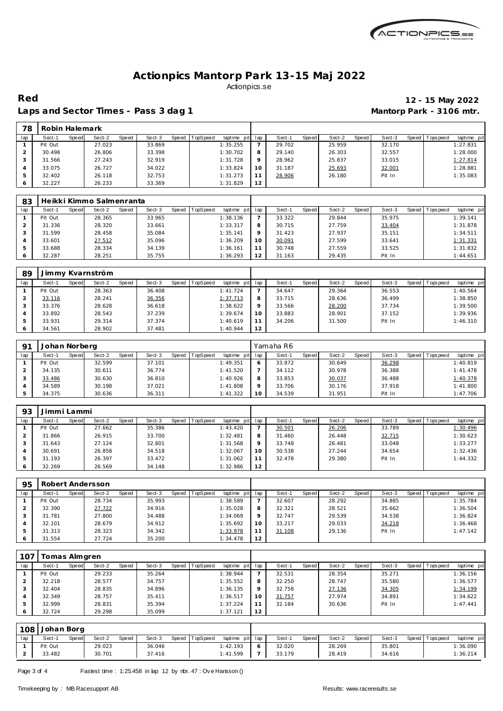

**Red 12 - 15 May 2022**

#### Laps and Sector Times - Pass 3 dag 1 **Mantorp Park - 3106 mtr.**

| 78  | Robin Halemark |       |        |       |        |       |                 |             |     |        |       |        |       |        |                 |             |
|-----|----------------|-------|--------|-------|--------|-------|-----------------|-------------|-----|--------|-------|--------|-------|--------|-----------------|-------------|
| lap | Sect-1         | Speed | Sect-2 | Speed | Sect-3 | Speed | <b>TopSpeed</b> | laptime pit | lap | Sect-1 | Speed | Sect-2 | Speed | Sect-3 | Speed Tops peed | laptime pit |
|     | Pit Out        |       | 27.023 |       | 33.869 |       |                 | 1:35.255    |     | 29.702 |       | 25.959 |       | 32.170 |                 | 1:27.831    |
|     | 30.498         |       | 26.806 |       | 33.398 |       |                 | 1:30.702    |     | 29.140 |       | 26.303 |       | 32.557 |                 | 1:28.000    |
|     | 31.566         |       | 27.243 |       | 32.919 |       |                 | 1:31.728    |     | 28.962 |       | 25.837 |       | 33.015 |                 | 1:27.814    |
|     | 33.075         |       | 26.727 |       | 34.022 |       |                 | 1:33.824    | 10  | 31.187 |       | 25.693 |       | 32.001 |                 | 1:28.881    |
|     | 32.402         |       | 26.118 |       | 32.753 |       |                 | 1:31.273    |     | 28.906 |       | 26.180 |       | Pit In |                 | 1:35.083    |
| 6   | 32.227         |       | 26.233 |       | 33.369 |       |                 | 1:31.829    | 12  |        |       |        |       |        |                 |             |

| 83  |         |       | Heikki Kimmo Salmenranta |       |        |                |             |         |        |              |        |       |        |       |           |             |  |
|-----|---------|-------|--------------------------|-------|--------|----------------|-------------|---------|--------|--------------|--------|-------|--------|-------|-----------|-------------|--|
| lap | Sect-1  | Speed | Sect-2                   | Speed | Sect-3 | Speed TopSpeed | laptime pit | lap     | Sect-1 | <b>Speed</b> | Sect-2 | Speed | Sect-3 | Speed | Tops peed | laptime pit |  |
|     | Pit Out |       | 28.365                   |       | 33.965 |                | 1:38.136    |         | 33.322 |              | 29.844 |       | 35.975 |       |           | 1:39.141    |  |
|     | 31.336  |       | 28.320                   |       | 33.661 |                | 1:33.317    | 8       | 30.715 |              | 27.759 |       | 33.404 |       |           | 1:31.878    |  |
|     | 31.599  |       | 28.458                   |       | 35.084 |                | 1:35.141    | $\circ$ | 31.423 |              | 27.937 |       | 35.151 |       |           | 1:34.511    |  |
|     | 33.601  |       | 27.512                   |       | 35.096 |                | 1:36.209    | 10      | 30.091 |              | 27.599 |       | 33.641 |       |           | 1:31.331    |  |
|     | 33.688  |       | 28.334                   |       | 34.139 |                | 1:36.161    |         | 30.748 |              | 27.559 |       | 33.525 |       |           | 1:31.832    |  |
| 6   | 32.287  |       | 28.251                   |       | 35.755 |                | 1:36.293    | 12      | 31.163 |              | 29.435 |       | Pit In |       |           | 1:44.651    |  |

| 89  |         |       | Jimmy Kvarnström |       |        |                |             |         |        |       |        |       |        |       |            |             |
|-----|---------|-------|------------------|-------|--------|----------------|-------------|---------|--------|-------|--------|-------|--------|-------|------------|-------------|
| lap | Sect-1  | Speed | Sect-2           | Speed | Sect-3 | Speed TopSpeed | laptime pit | lap     | Sect-1 | Speed | Sect-2 | Speed | Sect-3 | Speed | Tops pee d | laptime pit |
|     | Pit Out |       | 28.363           |       | 36.408 |                | 1: 41.724   |         | 34.647 |       | 29.364 |       | 36.553 |       |            | 1:40.564    |
|     | 33.116  |       | 28.241           |       | 36.356 |                | 1:37.713    | 8       | 33.715 |       | 28.636 |       | 36.499 |       |            | 1:38.850    |
|     | 33.376  |       | 28.628           |       | 36.618 |                | 1:38.622    | $\circ$ | 33.566 |       | 28.200 |       | 37.734 |       |            | 1:39.500    |
|     | 33.892  |       | 28.543           |       | 37.239 |                | 1:39.674    | 10      | 33.883 |       | 28.901 |       | 37.152 |       |            | 1:39.936    |
|     | 33.931  |       | 29.314           |       | 37.374 |                | 1:40.619    | 11      | 34.206 |       | 31.500 |       | Pit In |       |            | 1:46.310    |
|     | 34.561  |       | 28.902           |       | 37.481 |                | 1:40.944    | 12      |        |       |        |       |        |       |            |             |

| Q <sub>1</sub> | Johan Norberg |       |        |       |        |       |          |                |         | Yamaha R6 |       |        |       |        |       |            |             |
|----------------|---------------|-------|--------|-------|--------|-------|----------|----------------|---------|-----------|-------|--------|-------|--------|-------|------------|-------------|
| lap            | Sect-1        | Speed | Sect-2 | Speed | Sect-3 | Speed | TopSpeed | laptime<br>pit | lap     | Sect-1    | Speed | Sect-2 | Speed | Sect-3 | Speed | Tops pee d | laptime pit |
|                | Pit Out       |       | 32.599 |       | 37.101 |       |          | 1:49.351       | 6       | 33.872    |       | 30.649 |       | 36.298 |       |            | 1:40.819    |
|                | 34.135        |       | 30.611 |       | 36.774 |       |          | 1:41.520       |         | 34.112    |       | 30.978 |       | 36.388 |       |            | 1:41.478    |
|                | 33.486        |       | 30.630 |       | 36.810 |       |          | 1:40.926       | 8       | 33.853    |       | 30.037 |       | 36.488 |       |            | 1:40.378    |
|                | 34.589        |       | 30.198 |       | 37.021 |       |          | 1:41.808       | $\circ$ | 33.706    |       | 30.176 |       | 37.918 |       |            | 1:41.800    |
|                | 34.375        |       | 30.636 |       | 36.311 |       |          | 1: 41.322      | 10      | 34.539    |       | 31.951 |       | Pit In |       |            | 1:47.706    |

| 93            | Jimmi Lammi |       |        |       |        |       |                 |             |         |        |       |        |       |        |         |            |             |
|---------------|-------------|-------|--------|-------|--------|-------|-----------------|-------------|---------|--------|-------|--------|-------|--------|---------|------------|-------------|
| lap           | Sect-1      | Speed | Sect-2 | Speed | Sect-3 | Speed | <b>TopSpeed</b> | laptime pit | lap     | Sect-1 | Speed | Sect-2 | Speed | Sect-3 | Speed I | T ops peed | laptime pit |
|               | Pit Out     |       | 27.662 |       | 35.386 |       |                 | 1:43.420    |         | 30.501 |       | 26.206 |       | 33.789 |         |            | 1:30.496    |
|               | 31.866      |       | 26.915 |       | 33.700 |       |                 | 1:32.481    | 8       | 31.460 |       | 26.448 |       | 32.715 |         |            | 1:30.623    |
| 3             | 31.643      |       | 27.124 |       | 32.801 |       |                 | 1:31.568    | $\circ$ | 33.748 |       | 26.481 |       | 33.048 |         |            | 1:33.277    |
|               | 30.691      |       | 26.858 |       | 34.518 |       |                 | 1:32.067    | 10      | 30.538 |       | 27.244 |       | 34.654 |         |            | 1:32.436    |
| $\mathcal{P}$ | 31.193      |       | 26.397 |       | 33.472 |       |                 | 1:31.062    |         | 32.478 |       | 29.380 |       | Pit In |         |            | 1:44.332    |
| 6             | 32.269      |       | 26.569 |       | 34.148 |       |                 | 1:32.986    | 12      |        |       |        |       |        |         |            |             |

| 95  | Robert Andersson |       |        |       |        |       |                 |                 |          |        |              |        |       |        |                |             |
|-----|------------------|-------|--------|-------|--------|-------|-----------------|-----------------|----------|--------|--------------|--------|-------|--------|----------------|-------------|
| lap | Sect-1           | Speed | Sect-2 | Speed | Sect-3 | Speed | <b>TopSpeed</b> | laptime pit     | lap      | Sect-1 | <b>Speed</b> | Sect-2 | Speed | Sect-3 | Speed Topspeed | laptime pit |
|     | Pit Out          |       | 28.734 |       | 35.993 |       |                 | 1:38.589        |          | 32.607 |              | 28.292 |       | 34.885 |                | 1:35.784    |
|     | 32.390           |       | 27.722 |       | 34.916 |       |                 | 1:35.028        | $\circ$  | 32.321 |              | 28.521 |       | 35.662 |                | 1:36.504    |
|     | 31.781           |       | 27.800 |       | 34.488 |       |                 | 1:34.069        | $\Omega$ | 32.747 |              | 29.539 |       | 34.538 |                | 1:36.824    |
|     | 32.101           |       | 28.679 |       | 34.912 |       |                 | 1:35.692        | 10       | 33.217 |              | 29.033 |       | 34.218 |                | 1:36.468    |
|     | 31.313           |       | 28.323 |       | 34.342 |       |                 | <u>1:33.978</u> |          | 31.108 |              | 29.136 |       | Pit In |                | 1:47.142    |
| O   | 31.554           |       | 27.724 |       | 35.200 |       |                 | 1:34.478        | 12       |        |              |        |       |        |                |             |

| 107 | Tomas Almgren |       |        |       |        |       |          |             |         |        |       |        |       |        |         |            |             |
|-----|---------------|-------|--------|-------|--------|-------|----------|-------------|---------|--------|-------|--------|-------|--------|---------|------------|-------------|
| lap | Sect-1        | Speed | Sect-2 | Speed | Sect-3 | Speed | TopSpeed | laptime pit | lap     | Sect-1 | Speed | Sect-2 | Speed | Sect-3 | Speed I | Tops pee d | laptime pit |
|     | Pit Out       |       | 29.233 |       | 35.264 |       |          | 1:38.944    |         | 32.531 |       | 28.354 |       | 35.271 |         |            | 1:36.156    |
|     | 32.218        |       | 28.577 |       | 34.757 |       |          | 1:35.552    | 8       | 32.250 |       | 28.747 |       | 35.580 |         |            | 1:36.577    |
|     | 32.404        |       | 28.835 |       | 34.896 |       |          | 1:36.135    | $\circ$ | 32.758 |       | 27.136 |       | 34.305 |         |            | 1:34.199    |
|     | 32.349        |       | 28.757 |       | 35.411 |       |          | 1:36.517    | 10      | 31.757 |       | 27.974 |       | 34.891 |         |            | 1:34.622    |
|     | 32.999        |       | 28.831 |       | 35.394 |       |          | 1:37.224    | 11      | 32.184 |       | 30.636 |       | Pit In |         |            | 1:47.441    |
|     | 32.724        |       | 29.298 |       | 35.099 |       |          | 1:37.121    | 12      |        |       |        |       |        |         |            |             |

|     | 108 Johan Borg |              |        |              |        |       |          |                 |        |       |        |       |        |                 |             |
|-----|----------------|--------------|--------|--------------|--------|-------|----------|-----------------|--------|-------|--------|-------|--------|-----------------|-------------|
| lap | Sect-1         | <b>Speed</b> | Sect-2 | <b>Speed</b> | Sect-3 | Speed | TopSpeed | laptime pit lap | Sect-1 | Speed | Sect-2 | Speed | Sect-3 | Speed Tops peed | laptime pit |
|     | Pit Out        |              | 29.023 |              | 36.046 |       |          | 1:42.193        | 32.020 |       | 28.269 |       | 35.801 |                 | 1:36.090    |
|     | 33.482         |              | 30.701 |              | 37.416 |       |          | 1:41.599        | 33.179 |       | 28.419 |       | 34.616 |                 | 1:36.214    |

Page 3 of 4 Fastest time : 1:25.458 in lap 12 by nbr. 47 : Ove Hansson ()